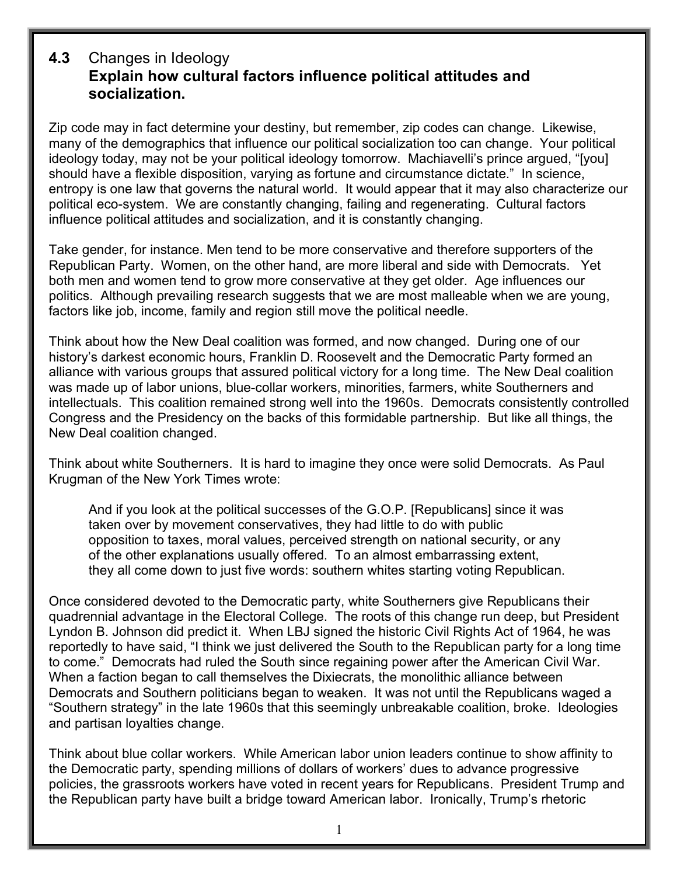## **4.3** Changes in Ideology **Explain how cultural factors influence political attitudes and socialization.**

Zip code may in fact determine your destiny, but remember, zip codes can change. Likewise, many of the demographics that influence our political socialization too can change. Your political ideology today, may not be your political ideology tomorrow. Machiavelli's prince argued, "[you] should have a flexible disposition, varying as fortune and circumstance dictate." In science, entropy is one law that governs the natural world. It would appear that it may also characterize our political eco-system. We are constantly changing, failing and regenerating. Cultural factors influence political attitudes and socialization, and it is constantly changing.

Take gender, for instance. Men tend to be more conservative and therefore supporters of the Republican Party. Women, on the other hand, are more liberal and side with Democrats. Yet both men and women tend to grow more conservative at they get older. Age influences our politics. Although prevailing research suggests that we are most malleable when we are young, factors like job, income, family and region still move the political needle.

Think about how the New Deal coalition was formed, and now changed. During one of our history's darkest economic hours, Franklin D. Roosevelt and the Democratic Party formed an alliance with various groups that assured political victory for a long time. The New Deal coalition was made up of labor unions, blue-collar workers, minorities, farmers, white Southerners and intellectuals. This coalition remained strong well into the 1960s. Democrats consistently controlled Congress and the Presidency on the backs of this formidable partnership. But like all things, the New Deal coalition changed.

Think about white Southerners. It is hard to imagine they once were solid Democrats. As Paul Krugman of the New York Times wrote:

And if you look at the political successes of the G.O.P. [Republicans] since it was taken over by movement conservatives, they had little to do with public opposition to taxes, moral values, perceived strength on national security, or any of the other explanations usually offered. To an almost embarrassing extent, they all come down to just five words: southern whites starting voting Republican.

Once considered devoted to the Democratic party, white Southerners give Republicans their quadrennial advantage in the Electoral College. The roots of this change run deep, but President Lyndon B. Johnson did predict it. When LBJ signed the historic Civil Rights Act of 1964, he was reportedly to have said, "I think we just delivered the South to the Republican party for a long time to come." Democrats had ruled the South since regaining power after the American Civil War. When a faction began to call themselves the Dixiecrats, the monolithic alliance between Democrats and Southern politicians began to weaken. It was not until the Republicans waged a "Southern strategy" in the late 1960s that this seemingly unbreakable coalition, broke. Ideologies and partisan loyalties change.

Think about blue collar workers. While American labor union leaders continue to show affinity to the Democratic party, spending millions of dollars of workers' dues to advance progressive policies, the grassroots workers have voted in recent years for Republicans. President Trump and the Republican party have built a bridge toward American labor. Ironically, Trump's rhetoric